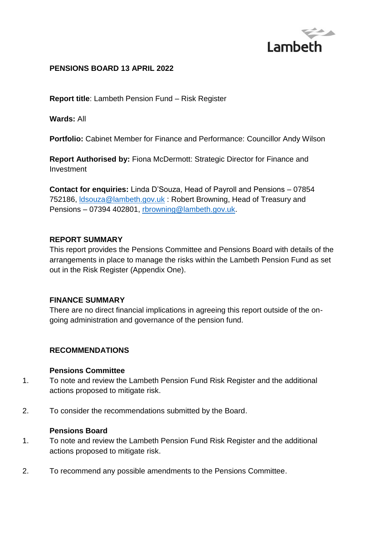

### **PENSIONS BOARD 13 APRIL 2022**

**Report title**: Lambeth Pension Fund – Risk Register

**Wards:** All

**Portfolio:** Cabinet Member for Finance and Performance: Councillor Andy Wilson

**Report Authorised by:** Fiona McDermott: Strategic Director for Finance and Investment

**Contact for enquiries:** Linda D'Souza, Head of Payroll and Pensions – 07854 752186, [ldsouza@lambeth.gov.uk](mailto:ldsouza@lambeth.gov.uk) : Robert Browning, Head of Treasury and Pensions – 07394 402801, [rbrowning@lambeth.gov.uk.](mailto:rbrowning@lambeth.gov.uk)

#### **REPORT SUMMARY**

This report provides the Pensions Committee and Pensions Board with details of the arrangements in place to manage the risks within the Lambeth Pension Fund as set out in the Risk Register (Appendix One).

#### **FINANCE SUMMARY**

There are no direct financial implications in agreeing this report outside of the ongoing administration and governance of the pension fund.

#### **RECOMMENDATIONS**

#### **Pensions Committee**

- 1. To note and review the Lambeth Pension Fund Risk Register and the additional actions proposed to mitigate risk.
- 2. To consider the recommendations submitted by the Board.

#### **Pensions Board**

- 1. To note and review the Lambeth Pension Fund Risk Register and the additional actions proposed to mitigate risk.
- 2. To recommend any possible amendments to the Pensions Committee.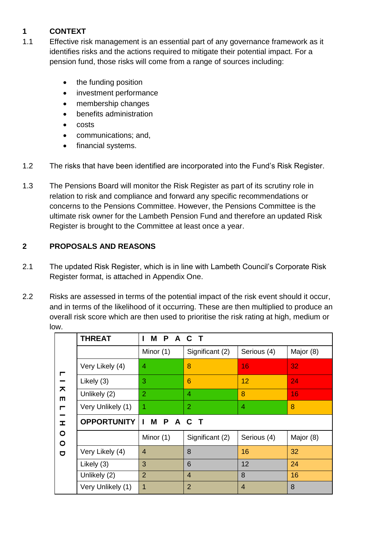# **1 CONTEXT**

- 1.1 Effective risk management is an essential part of any governance framework as it identifies risks and the actions required to mitigate their potential impact. For a pension fund, those risks will come from a range of sources including:
	- the funding position
	- investment performance
	- membership changes
	- benefits administration
	- costs
	- communications; and,
	- financial systems.
- 1.2 The risks that have been identified are incorporated into the Fund's Risk Register.
- 1.3 The Pensions Board will monitor the Risk Register as part of its scrutiny role in relation to risk and compliance and forward any specific recommendations or concerns to the Pensions Committee. However, the Pensions Committee is the ultimate risk owner for the Lambeth Pension Fund and therefore an updated Risk Register is brought to the Committee at least once a year.

# **2 PROPOSALS AND REASONS**

- 2.1 The updated Risk Register, which is in line with Lambeth Council's Corporate Risk Register format, is attached in Appendix One.
- 2.2 Risks are assessed in terms of the potential impact of the risk event should it occur, and in terms of the likelihood of it occurring. These are then multiplied to produce an overall risk score which are then used to prioritise the risk rating at high, medium or low.

|                                                                                                     | <b>THREAT</b>      | <b>MPACT</b>   |                 |                |           |  |
|-----------------------------------------------------------------------------------------------------|--------------------|----------------|-----------------|----------------|-----------|--|
| ┍<br>$\overline{\mathbf{z}}$<br>m<br>$\blacksquare$<br>$\mathbf{r}$<br>$\circ$<br>$\circ$<br>$\Box$ |                    | Minor (1)      | Significant (2) | Serious (4)    | Major (8) |  |
|                                                                                                     | Very Likely (4)    | 4              | 8               | 16             | 32        |  |
|                                                                                                     | Likely (3)         | 3              | 6               | 12             | 24        |  |
|                                                                                                     | Unlikely (2)       | $\overline{2}$ | 4               | 8              | 16        |  |
|                                                                                                     | Very Unlikely (1)  | 1              | $\overline{2}$  | 4              | 8         |  |
|                                                                                                     | <b>OPPORTUNITY</b> | IMPACT         |                 |                |           |  |
|                                                                                                     |                    | Minor (1)      | Significant (2) | Serious (4)    | Major (8) |  |
|                                                                                                     | Very Likely (4)    | $\overline{4}$ | 8               | 16             | 32        |  |
|                                                                                                     | Likely (3)         | 3              | 6               | 12             | 24        |  |
|                                                                                                     | Unlikely (2)       | $\overline{2}$ | $\overline{4}$  | 8              | 16        |  |
|                                                                                                     | Very Unlikely (1)  | 1              | $\overline{2}$  | $\overline{4}$ | 8         |  |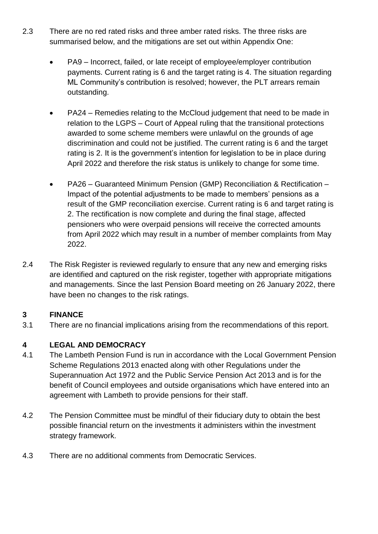- 2.3 There are no red rated risks and three amber rated risks. The three risks are summarised below, and the mitigations are set out within Appendix One:
	- PA9 Incorrect, failed, or late receipt of employee/employer contribution payments. Current rating is 6 and the target rating is 4. The situation regarding ML Community's contribution is resolved; however, the PLT arrears remain outstanding.
	- PA24 Remedies relating to the McCloud judgement that need to be made in relation to the LGPS – Court of Appeal ruling that the transitional protections awarded to some scheme members were unlawful on the grounds of age discrimination and could not be justified. The current rating is 6 and the target rating is 2. It is the government's intention for legislation to be in place during April 2022 and therefore the risk status is unlikely to change for some time.
	- PA26 Guaranteed Minimum Pension (GMP) Reconciliation & Rectification Impact of the potential adjustments to be made to members' pensions as a result of the GMP reconciliation exercise. Current rating is 6 and target rating is 2. The rectification is now complete and during the final stage, affected pensioners who were overpaid pensions will receive the corrected amounts from April 2022 which may result in a number of member complaints from May 2022.
- 2.4 The Risk Register is reviewed regularly to ensure that any new and emerging risks are identified and captured on the risk register, together with appropriate mitigations and managements. Since the last Pension Board meeting on 26 January 2022, there have been no changes to the risk ratings.

# **3 FINANCE**

3.1 There are no financial implications arising from the recommendations of this report.

# **4 LEGAL AND DEMOCRACY**

- 4.1 The Lambeth Pension Fund is run in accordance with the Local Government Pension Scheme Regulations 2013 enacted along with other Regulations under the Superannuation Act 1972 and the Public Service Pension Act 2013 and is for the benefit of Council employees and outside organisations which have entered into an agreement with Lambeth to provide pensions for their staff.
- 4.2 The Pension Committee must be mindful of their fiduciary duty to obtain the best possible financial return on the investments it administers within the investment strategy framework.
- 4.3 There are no additional comments from Democratic Services.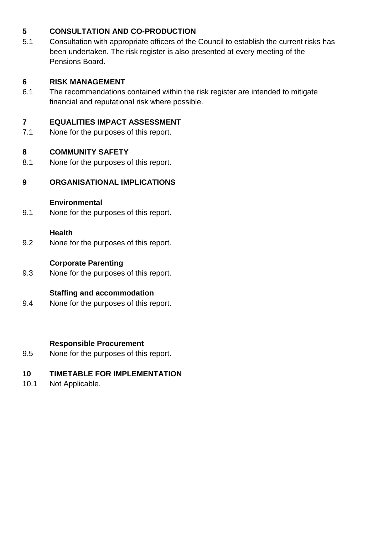# **5 CONSULTATION AND CO-PRODUCTION**

5.1 Consultation with appropriate officers of the Council to establish the current risks has been undertaken. The risk register is also presented at every meeting of the Pensions Board.

# **6 RISK MANAGEMENT**

6.1 The recommendations contained within the risk register are intended to mitigate financial and reputational risk where possible.

# **7 EQUALITIES IMPACT ASSESSMENT**

7.1 None for the purposes of this report.

# **8 COMMUNITY SAFETY**

8.1 None for the purposes of this report.

# **9 ORGANISATIONAL IMPLICATIONS**

#### **Environmental**

9.1 None for the purposes of this report.

#### **Health**

9.2 None for the purposes of this report.

### **Corporate Parenting**

9.3 None for the purposes of this report.

# **Staffing and accommodation**

9.4 None for the purposes of this report.

# **Responsible Procurement**

9.5 None for the purposes of this report.

# **10 TIMETABLE FOR IMPLEMENTATION**

10.1 Not Applicable.